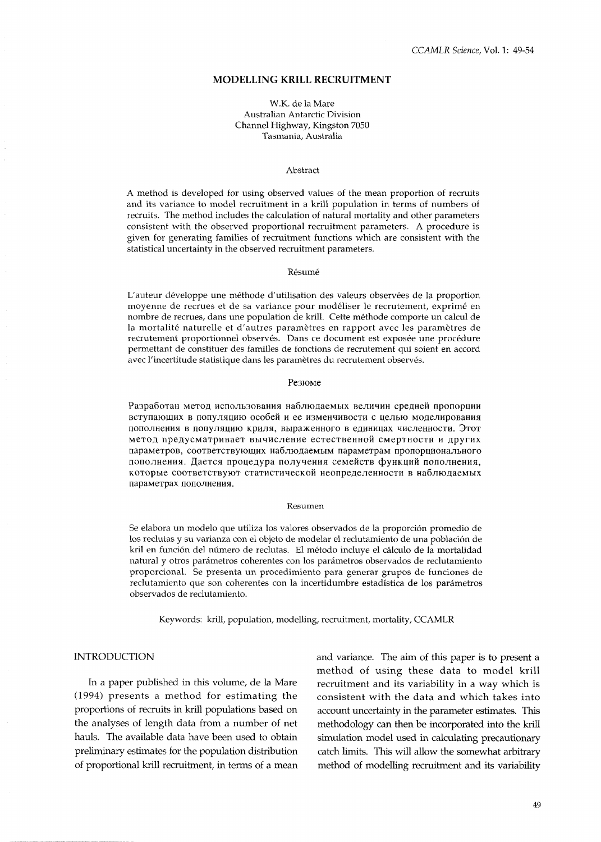## **MODELLING KRILL RECRUITMENT**

#### W.K. de la Mare Australian Antarctic Division Channel Highway, Kingston 7050 Tasmania, Australia

#### Abstract

A method is developed for using observed values of the mean proportion of recruits and its variance to model recruitment in a krill population in terms of numbers of recruits. The method includes the calculation of natural mortality and other parameters consistent with the observed proportional recruitment parameters. A procedure is given for generating families of recruitment functions which are consistent with the statistical uncertainty in the observed recruitment parameters.

#### Résumé

L'auteur developpe une methode d'utilisation des valeurs observees de la proportion moyenne de recrues et de sa variance pour modeliser le recrutement, exprime en nombre de recrues, dans une population de krill. Cette méthode comporte un calcul de la mortalité naturelle et d'autres paramètres en rapport avec les paramètres de recrutement proportionnel observés. Dans ce document est exposée une procédure permettant de constituer des familles de fonctions de recrutement qui soient en accord avec l'incertitude statistique dans les paramètres du recrutement observés.

#### Резюме

Разработан метод использования наблюдаемых величин средней пропорции вступающих в популяцию особей и ее изменчивости с целью моделирования пополнения в популяцию криля, выраженного в единицах численности. Этот метод предусматривает вычисление естественной смертности и других параметров, соответствующих наблюдаемым параметрам пропорционального пополнения. Дается процедура получения семейств функций пополнения, которые соответствуют статистической неопределенности в наблюдаемых параметрах пополнения.

#### Resumen

Se elabora un modelo que utiliza los valores observados de la proporción promedio de 10s reclutas y su varianza con el objeto de modelar el reclutamiento de una poblacion de kril en funcion del numero de reclutas. El metodo incluye el calculo de la mortalidad natural y otros parametros coherentes con 10s pardmetros observados de reclutamiento proporcional. Se presenta un procedimiento para generar grupos de funciones de reclutamiento que son coherentes con la incertidumbre estadística de los parámetros observados de reclutamiento.

Keywords: krill, population, modelling, recruitment, mortality, CCAMLR

#### INTRODUCTION

In a paper published in this volume, de la Mare (1994) presents a method for estimating the proportions of recruits in krill populations based on the analyses of length data from a number of net hauls. The available data have been used to obtain preliminary estimates for the population distribution of proportional krill recruitment, in terms of a mean and variance. The aim of this paper is to present a method of using these data to model krill recruitment and its variability in a way which is consistent with the data and which takes into account uncertainty in the parameter estimates. This methodology can then be incorporated into the krill simulation model used in calculating precautionary catch limits. This will allow the somewhat arbitrary method of modelling recruitment and its variability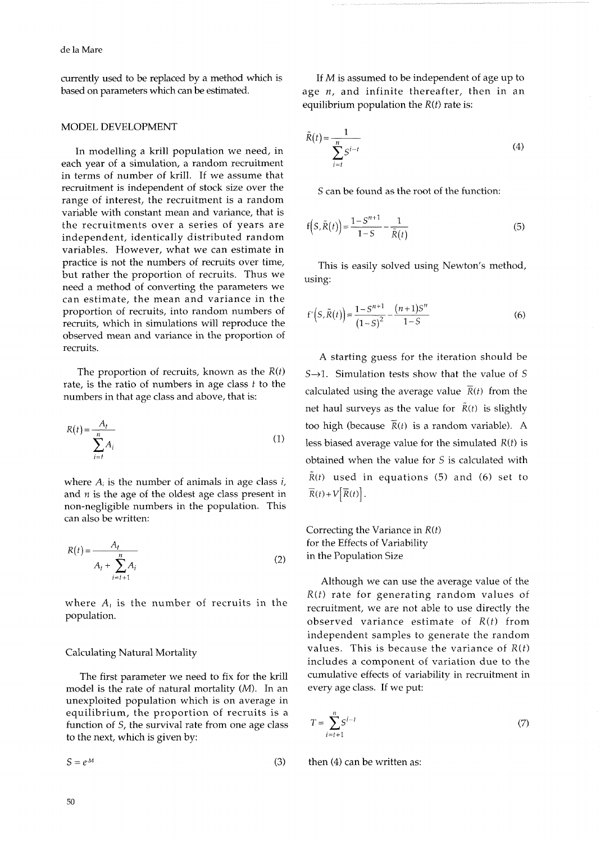currently used to be replaced by a method which is based on parameters which can be estimated.

## MODEL DEVELOPMENT

In modelling a krill population we need, in each year of a simulation, a random recruitment in terms of number of krill. If we assume that recruitment is independent of stock size over the range of interest, the recruitment is a random variable with constant mean and variance, that is the recruitments over a series of years are independent, identically distributed random variables. However, what we can estimate in practice is not the numbers of recruits over time, but rather the proportion of recruits. Thus we need a method of converting the parameters we can estimate, the mean and variance in the proportion of recruits, into random numbers of recruits, which in simulations will reproduce the observed mean and variance in the proportion of recruits.

The proportion of recruits, known as the *R(t)*  rate, is the ratio of numbers in age class *t* to the numbers in that age class and above, that is:

$$
R(t) = \frac{A_t}{\sum_{i=t}^{n} A_i}
$$
 (1)

where  $A_i$  is the number of animals in age class  $i$ , and  $n$  is the age of the oldest age class present in non-negligible numbers in the population. This can also be written:

$$
R(t) = \frac{A_t}{A_t + \sum_{i=t+1}^{n} A_i}
$$
 (2)

where  $A_t$  is the number of recruits in the population.

## Calculating Natural Mortality

The first parameter we need to fix for the krill model is the rate of natural mortality *(M).* In an unexploited population which is on average in equilibrium, the proportion of recruits is a function of S, the survival rate from one age class to the next, which is given by:

$$
S = e^{-M} \tag{3}
$$

If *M* is assumed to be independent of age up to age  $n$ , and infinite thereafter, then in an equilibrium population the *R(t)* rate is:

$$
\tilde{R}(t) = \frac{1}{\sum_{i=t}^{n} S^{i-t}}
$$
\n(4)

S can be found as the root of the function:

$$
f(S,\widetilde{R}(t)) = \frac{1 - S^{n+1}}{1 - S} - \frac{1}{\widetilde{R}(t)}
$$
\n
$$
(5)
$$

This is easily solved using Newton's method, using:

$$
f'\left(S,\tilde{R}(t)\right) = \frac{1 - S^{n+1}}{\left(1 - S\right)^2} - \frac{(n+1)S^n}{1 - S} \tag{6}
$$

A starting guess for the iteration should be  $S\rightarrow 1$ . Simulation tests show that the value of S calculated using the average value  $\overline{R}(t)$  from the net haul surveys as the value for  $\tilde{R}(t)$  is slightly too high (because  $\overline{R}(t)$  is a random variable). A less biased average value for the simulated *R(t)* is obtained when the value for S is calculated with  $\tilde{R}(t)$  used in equations (5) and (6) set to  $\overline{R}(t)+V[\overline{R}(t)].$ 

Correcting the Variance in *R(t)*  for the Effects of Variability in the Population Size

Although we can use the average value of the *R(t)* rate for generating random values of recruitment, we are not able to use directly the observed variance estimate of *R(t)* from independent samples to generate the random values. This is because the variance of *R(t)*  includes a component of variation due to the cumulative effects of variability in recruitment in every age class. If we put:

$$
T = \sum_{i=t+1}^{n} S^{i-t} \tag{7}
$$

then (4) can be written as: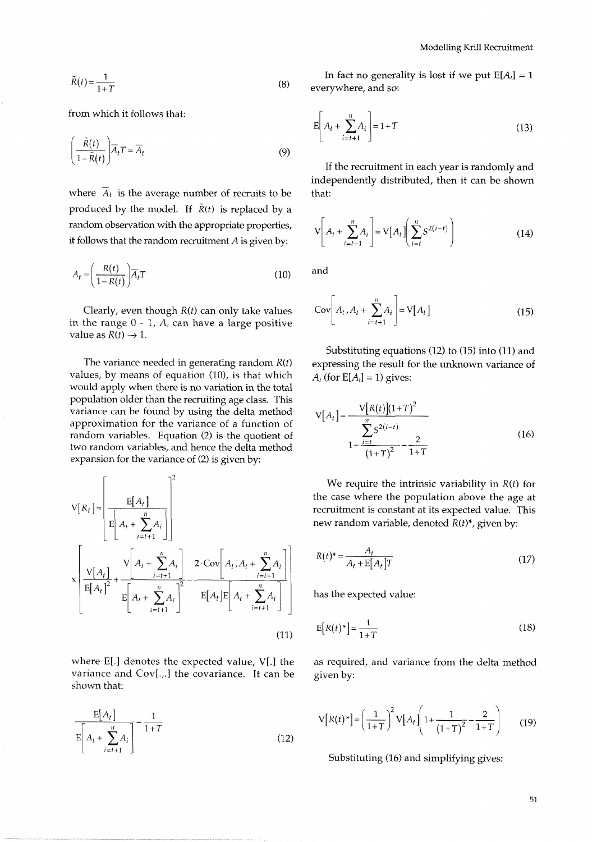$$
\tilde{R}(t) = \frac{1}{1+T}
$$
\n(8)

from which it follows that:

$$
\left(\frac{\tilde{R}(t)}{1-\tilde{R}(t)}\right)\overline{A}_t T = \overline{A}_t
$$
\n(9)

where  $\overline{A}_t$  is the average number of recruits to be produced by the model. If  $\tilde{R}(t)$  is replaced by a random observation with the appropriate properties, it follows that the random recruitment  $A$  is given by:

$$
A_t = \left(\frac{R(t)}{1 - R(t)}\right) \overline{A}_t T
$$
\n(10)

Clearly, even though  $R(t)$  can only take values in the range  $0 - 1$ ,  $A_t$  can have a large positive value as  $R(t) \rightarrow 1$ .

The variance needed in generating random  $R(t)$ values, by means of equation (10), is that which would apply when there is no variation in the total population older than the recruiting age class. This variance can be found by using the delta method approximation for the variance of a function of random variables. Equation (2) is the quotient of two random variables, and hence the delta method expansion for the variance of (2) is given by:

$$
V[R_{l}] \approx \left[\frac{E[A_{t}]}{E[A_{t} + \sum_{i=t+1}^{n} A_{i}]}\right]^{2}
$$
  

$$
\times \left[\frac{V[A_{t}]}{E[A_{t}]^{2}} + \frac{V[A_{t} + \sum_{i=t+1}^{n} A_{i}]}{E[A_{t} + \sum_{i=t+1}^{n} A_{i}]}^{2} - \frac{2 \cdot Cov[A_{t}, A_{t} + \sum_{i=t+1}^{n} A_{i}]}{E[A_{t} + \sum_{i=t+1}^{n} A_{i}]} \right]
$$
(11)

where E[.] denotes the expected value, V[.] the variance and  $Cov[.,]$  the covariance. It can be shown that:

$$
\frac{E[A_t]}{E\left[A_t + \sum_{i=t+1}^{n} A_i\right]} = \frac{1}{1+T}
$$
\n(12)

In fact no generality is lost if we put  $E[A_t] = 1$ everywhere, and so:

$$
E\left[A_t + \sum_{i=t+1}^{n} A_i\right] = 1 + T\tag{13}
$$

If the recruitment in each year is randomly and independently distributed, then it can be shown that:

$$
\mathbf{V}\left[A_t + \sum_{i=t+1}^n A_i\right] = \mathbf{V}\left[A_t\right] \left(\sum_{i=t}^n S^{2(i-t)}\right) \tag{14}
$$

and

$$
Cov\bigg[A_t, A_t + \sum_{i=t+1}^n A_i\bigg] = V[A_t] \tag{15}
$$

Substituting equations (12) to (15) into (11) and expressing the result for the unknown variance of  $A_t$  (for  $E[A_t] = 1$ ) gives:

$$
V[A_t] = \frac{V[R(t)](1+T)^2}{\sum_{1+\frac{i=t}{(1+T)^2}}^n - \frac{2}{1+T}}
$$
(16)

We require the intrinsic variability in  $R(t)$  for the case where the population above the age at recruitment is constant at its expected value. This new random variable, denoted  $R(t)^*$ , given by:

$$
R(t)^* = \frac{A_t}{A_t + \mathbf{E}[A_t]T}
$$
\n(17)

has the expected value:

$$
E[R(t)^*] = \frac{1}{1+T}
$$
\n(18)

as required, and variance from the delta method given by:

$$
V[R(t)^*] = \left(\frac{1}{1+T}\right)^2 V[A_t] \left(1 + \frac{1}{(1+T)^2} - \frac{2}{1+T}\right) \tag{19}
$$

Substituting (16) and simplifying gives: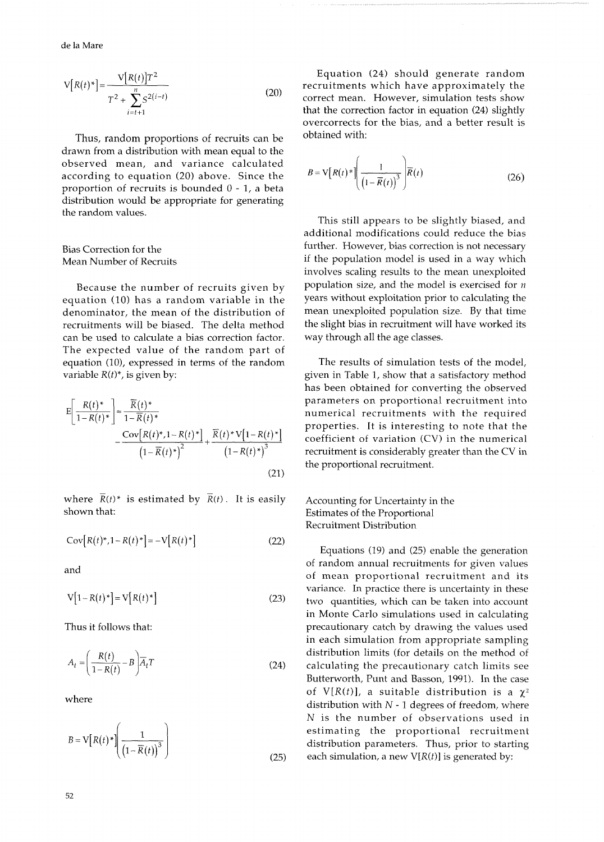$$
V[R(t)^*] = \frac{V[R(t)]T^2}{T^2 + \sum_{i=t+1}^{n} S^{2(i-t)}}
$$
(20)

Thus, random proportions of recruits can be drawn from a distribution with mean equal to the observed mean, and variance calculated according to equation (20) above. Since the proportion of recruits is bounded *0* - 1, a beta distribution would be appropriate for generating the random values.

## Bias Correction for the Mean Number of Recruits

Because the number of recruits given by equation (10) has a random variable in the denominator, the mean of the distribution of recruitments will be biased. The delta method can be used to calculate a bias correction factor. The expected value of the random part of equation (10), expressed in terms of the random variable  $R(t)^*$ , is given by:

$$
E\left[\frac{R(t)^{*}}{1 - R(t)^{*}}\right] \approx \frac{\overline{R}(t)^{*}}{1 - \overline{R}(t)^{*}} - \frac{\text{Cov}[R(t)^{*}, 1 - R(t)^{*}]}{(1 - \overline{R}(t)^{*})^{2}} + \frac{\overline{R}(t)^{*} \text{V}[1 - R(t)^{*}]}{(1 - R(t)^{*})^{3}}
$$
\n(21)

where  $\overline{R}(t)^*$  is estimated by  $\overline{R}(t)$ . It is easily shown that:

$$
Cov[R(t)^*, 1 - R(t)^*] = -V[R(t)^*]
$$
 (22)

and

$$
V[1 - R(t)^*] = V[R(t)^*]
$$
\n(23)

Thus it follows that:

$$
A_t = \left(\frac{R(t)}{1 - R(t)} - B\right) \overline{A}_t T
$$
\n(24)

where

$$
B = \mathbf{V} \left[ R(t)^* \left( \frac{1}{\left(1 - \overline{R}(t)\right)^3} \right) \right]
$$
 (25)

Equation (24) should generate random recruitments which have approximately the correct mean. However, simulation tests show that the correction factor in equation (24) slightly overcorrects for the bias, and a better result is obtained with:

$$
B = \mathbf{V} \left[ R(t)^* \right] \left( \frac{1}{\left(1 - \overline{R}(t)\right)^3} \right) \overline{R}(t)
$$
 (26)

This still appears to be slightly biased, and additional modifications could reduce the bias further. However, bias correction is not necessary if the population model is used in a way which involves scaling results to the mean unexploited population size, and the model is exercised for *n*  years without exploitation prior to calculating the mean unexploited population size. By that time the slight bias in recruitment will have worked its way through all the age classes.

The results of simulation tests of the model, given in Table 1, show that a satisfactory method has been obtained for converting the observed parameters on proportional recruitment into numerical recruitments with the required properties. It is interesting to note that the coefficient of variation (CV) in the numerical recruitment is considerably greater than the CV in the proportional recruitment.

Accounting for Uncertainty in the Estimates of the Proportional Recruitment Distribution

Equations (19) and (25) enable the generation of random annual recruitments for given values of mean proportional recruitment and its variance. In practice there is uncertainty in these two quantities, which can be taken into account in Monte Carlo simulations used in calculating precautionary catch by drawing the values used in each simulation from appropriate sampling distribution limits (for details on the method of calculating the precautionary catch limits see Butterworth, Punt and Basson, 1991). In the case of  $V[R(t)]$ , a suitable distribution is a  $\chi^2$ distribution with  $N - 1$  degrees of freedom, where N is the number of observations used in estimating the proportional recruitment distribution parameters. Thus, prior to starting each simulation, a new  $V[R(t)]$  is generated by: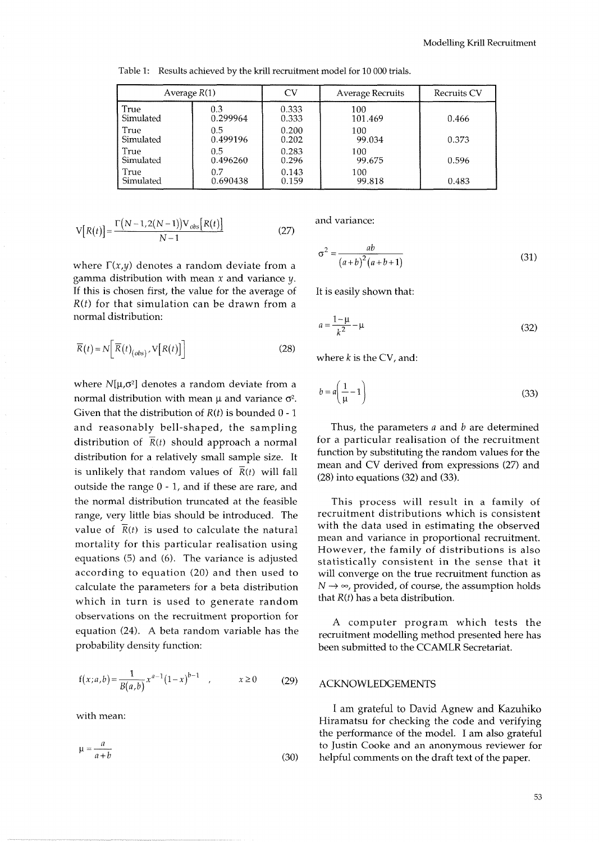| Average $R(1)$ |               | <b>CV</b> | Average Recruits | <b>Recruits CV</b> |
|----------------|---------------|-----------|------------------|--------------------|
| True           | 0.3           | 0.333     | 100              | 0.466              |
| Simulated      | 0.299964      | 0.333     | 101.469          |                    |
| True           | $0.5^{\circ}$ | 0.200     | 100              | 0.373              |
| Simulated      | 0.499196      | 0.202     | 99.034           |                    |
| True           | $0.5^{\circ}$ | 0.283     | 100              | 0.596              |
| Simulated      | 0.496260      | 0.296     | 99.675           |                    |
| True           | 0.7           | 0.143     | 100              | 0.483              |
| Simulated      | 0.690438      | 0.159     | 99.818           |                    |

Table *1:* Results achieved by the krill recruitment model for *10 000* trials.

$$
V[R(t)] = \frac{\Gamma(N-1,2(N-1))V_{obs}[R(t)]}{N-1}
$$
 (27)

where  $\Gamma(x,y)$  denotes a random deviate from a gamma distribution with mean *X* and variance *y.*  If this is chosen first, the value for the average of It is easily shown that: *R(t)* for that simulation can be drawn from a normal distribution:

$$
\overline{R}(t) = N \left[ \overline{R}(t)_{(obs)}, V[R(t)] \right]
$$
 (28)

where  $N[\mu,\sigma^2]$  denotes a random deviate from a normal distribution with mean  $\mu$  and variance  $\sigma^2$ . Given that the distribution of *R(t)* is bounded 0 - 1 and reasonably bell-shaped, the sampling distribution of  $\overline{R}(t)$  should approach a normal distribution for a relatively small sample size. It is unlikely that random values of  $\overline{R}(t)$  will fall outside the range 0 - 1, and if these are rare, and the normal distribution truncated at the feasible range, very little bias should be introduced. The value of  $\overline{R}(t)$  is used to calculate the natural mortality for this particular realisation using equations (5) and (6). The variance is adjusted according to equation *(20)* and then used to calculate the parameters for a beta distribution which in turn is used to generate random observations on the recruitment proportion for A computer program which tests the equation (24). A beta random variable has the recruitment modelling method presented here has probability density function:

$$
f(x;a,b) = \frac{1}{B(a,b)} x^{a-1} (1-x)^{b-1} , \t x \ge 0
$$
 (29)

with mean:

$$
\mu = \frac{a}{a+b} \tag{30}
$$

and variance:

$$
\sigma^2 = \frac{ab}{\left(a+b\right)^2 \left(a+b+1\right)}\tag{31}
$$

$$
a = \frac{1 - \mu}{k^2} - \mu
$$
 (32)

where  $k$  is the CV, and:

$$
b = a \left(\frac{1}{\mu} - 1\right) \tag{33}
$$

Thus, the parameters  $a$  and  $b$  are determined for a particular realisation of the recruitment function by substituting the random values for the mean and CV derived from expressions *(27)* and *(28)* into equations *(32)* and *(33).* 

This process will result in a family of recruitment distributions which is consistent with the data used in estimating the observed mean and variance in proportional recruitment. However, the family of distributions is also statistically consistent in the sense that it will converge on the true recruitment function as  $N \rightarrow \infty$ , provided, of course, the assumption holds that *R(t)* has a beta distribution.

been submitted to the CCAMLR Secretariat.

## *B(a,b) (29)* ACKNOWLEDGEMENTS

I am grateful to David Agnew and Kazuhiko Hiramatsu for checking the code and verifying the performance of the model. I am also grateful to Justin Cooke and an anonymous reviewer for helpful comments on the draft text of the paper.